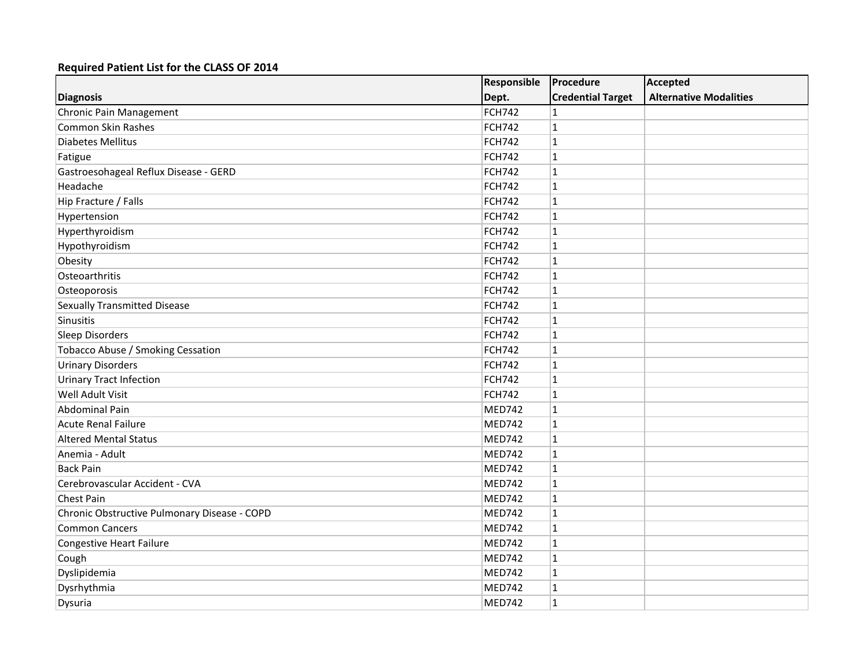|                                              | Responsible   | Procedure                | Accepted                      |
|----------------------------------------------|---------------|--------------------------|-------------------------------|
| <b>Diagnosis</b>                             | Dept.         | <b>Credential Target</b> | <b>Alternative Modalities</b> |
| <b>Chronic Pain Management</b>               | FCH742        | 1                        |                               |
| <b>Common Skin Rashes</b>                    | <b>FCH742</b> | 1                        |                               |
| <b>Diabetes Mellitus</b>                     | <b>FCH742</b> | $\mathbf{1}$             |                               |
| Fatigue                                      | <b>FCH742</b> | $\mathbf{1}$             |                               |
| Gastroesohageal Reflux Disease - GERD        | <b>FCH742</b> | $\mathbf{1}$             |                               |
| Headache                                     | <b>FCH742</b> | $\mathbf{1}$             |                               |
| Hip Fracture / Falls                         | FCH742        | $\mathbf{1}$             |                               |
| Hypertension                                 | FCH742        | 1                        |                               |
| Hyperthyroidism                              | <b>FCH742</b> | $\mathbf{1}$             |                               |
| Hypothyroidism                               | <b>FCH742</b> | $\mathbf{1}$             |                               |
| Obesity                                      | <b>FCH742</b> | $\mathbf{1}$             |                               |
| Osteoarthritis                               | <b>FCH742</b> | $\mathbf{1}$             |                               |
| Osteoporosis                                 | <b>FCH742</b> | $\mathbf{1}$             |                               |
| <b>Sexually Transmitted Disease</b>          | <b>FCH742</b> | 1                        |                               |
| Sinusitis                                    | <b>FCH742</b> | $\mathbf{1}$             |                               |
| Sleep Disorders                              | <b>FCH742</b> | $\mathbf{1}$             |                               |
| Tobacco Abuse / Smoking Cessation            | <b>FCH742</b> | $\mathbf{1}$             |                               |
| <b>Urinary Disorders</b>                     | <b>FCH742</b> | $\mathbf{1}$             |                               |
| <b>Urinary Tract Infection</b>               | <b>FCH742</b> | $\mathbf{1}$             |                               |
| Well Adult Visit                             | <b>FCH742</b> | $\mathbf{1}$             |                               |
| <b>Abdominal Pain</b>                        | MED742        | $\mathbf{1}$             |                               |
| <b>Acute Renal Failure</b>                   | MED742        | $\mathbf{1}$             |                               |
| <b>Altered Mental Status</b>                 | MED742        | $\mathbf{1}$             |                               |
| Anemia - Adult                               | MED742        | $\mathbf{1}$             |                               |
| <b>Back Pain</b>                             | MED742        | $\mathbf{1}$             |                               |
| Cerebrovascular Accident - CVA               | MED742        | 1                        |                               |
| Chest Pain                                   | MED742        | $\mathbf{1}$             |                               |
| Chronic Obstructive Pulmonary Disease - COPD | MED742        | $\mathbf{1}$             |                               |
| <b>Common Cancers</b>                        | MED742        | $\mathbf 1$              |                               |
| <b>Congestive Heart Failure</b>              | MED742        | $\mathbf{1}$             |                               |
| Cough                                        | MED742        | $\mathbf{1}$             |                               |
| Dyslipidemia                                 | MED742        | 1                        |                               |
| Dysrhythmia                                  | MED742        | $\mathbf{1}$             |                               |
| Dysuria                                      | MED742        | $\mathbf{1}$             |                               |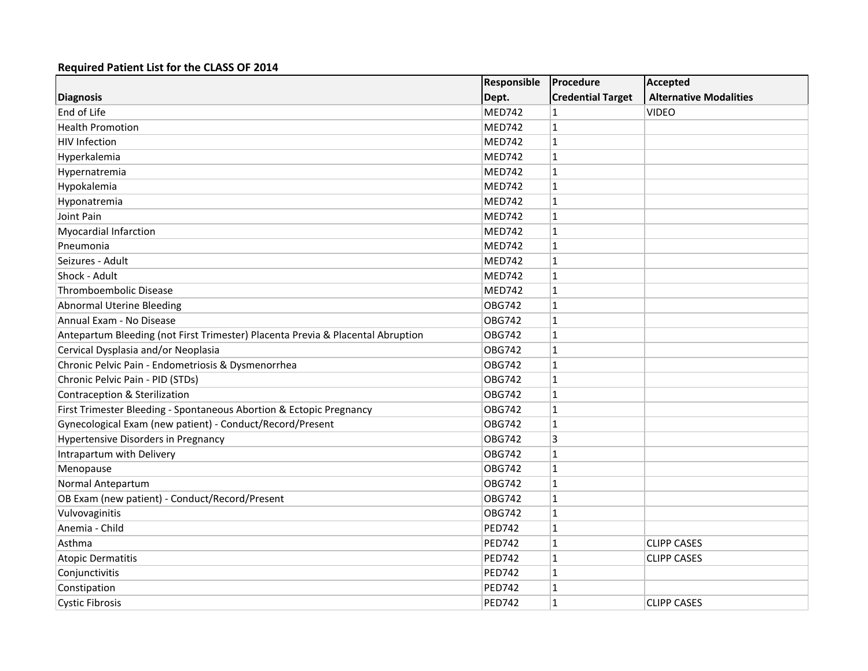|                                                                                 | Responsible   | Procedure                | <b>Accepted</b>               |
|---------------------------------------------------------------------------------|---------------|--------------------------|-------------------------------|
| <b>Diagnosis</b>                                                                | Dept.         | <b>Credential Target</b> | <b>Alternative Modalities</b> |
| End of Life                                                                     | MED742        | 1                        | <b>VIDEO</b>                  |
| <b>Health Promotion</b>                                                         | MED742        | $\mathbf{1}$             |                               |
| <b>HIV Infection</b>                                                            | MED742        | $\mathbf{1}$             |                               |
| Hyperkalemia                                                                    | <b>MED742</b> | $\mathbf{1}$             |                               |
| Hypernatremia                                                                   | MED742        | $\mathbf{1}$             |                               |
| Hypokalemia                                                                     | MED742        | $\mathbf{1}$             |                               |
| Hyponatremia                                                                    | MED742        | $\mathbf{1}$             |                               |
| Joint Pain                                                                      | MED742        | $\mathbf{1}$             |                               |
| <b>Myocardial Infarction</b>                                                    | MED742        | $\mathbf{1}$             |                               |
| Pneumonia                                                                       | MED742        | $\mathbf{1}$             |                               |
| Seizures - Adult                                                                | MED742        | $\mathbf{1}$             |                               |
| Shock - Adult                                                                   | MED742        | $\mathbf{1}$             |                               |
| Thromboembolic Disease                                                          | MED742        | $\mathbf{1}$             |                               |
| <b>Abnormal Uterine Bleeding</b>                                                | <b>OBG742</b> | $\mathbf{1}$             |                               |
| Annual Exam - No Disease                                                        | <b>OBG742</b> | $\mathbf{1}$             |                               |
| Antepartum Bleeding (not First Trimester) Placenta Previa & Placental Abruption | <b>OBG742</b> | $\mathbf{1}$             |                               |
| Cervical Dysplasia and/or Neoplasia                                             | <b>OBG742</b> | $\mathbf 1$              |                               |
| Chronic Pelvic Pain - Endometriosis & Dysmenorrhea                              | <b>OBG742</b> | $\mathbf{1}$             |                               |
| Chronic Pelvic Pain - PID (STDs)                                                | <b>OBG742</b> | $\mathbf{1}$             |                               |
| <b>Contraception &amp; Sterilization</b>                                        | <b>OBG742</b> | $\mathbf{1}$             |                               |
| First Trimester Bleeding - Spontaneous Abortion & Ectopic Pregnancy             | <b>OBG742</b> | $\mathbf{1}$             |                               |
| Gynecological Exam (new patient) - Conduct/Record/Present                       | <b>OBG742</b> | $\mathbf{1}$             |                               |
| <b>Hypertensive Disorders in Pregnancy</b>                                      | <b>OBG742</b> | 3                        |                               |
| Intrapartum with Delivery                                                       | <b>OBG742</b> | $\mathbf{1}$             |                               |
| Menopause                                                                       | <b>OBG742</b> | $\mathbf{1}$             |                               |
| Normal Antepartum                                                               | <b>OBG742</b> | $\mathbf{1}$             |                               |
| OB Exam (new patient) - Conduct/Record/Present                                  | <b>OBG742</b> | $\mathbf{1}$             |                               |
| Vulvovaginitis                                                                  | <b>OBG742</b> | $\mathbf{1}$             |                               |
| Anemia - Child                                                                  | <b>PED742</b> | 1                        |                               |
| Asthma                                                                          | <b>PED742</b> | $\mathbf{1}$             | <b>CLIPP CASES</b>            |
| <b>Atopic Dermatitis</b>                                                        | <b>PED742</b> | $\mathbf{1}$             | <b>CLIPP CASES</b>            |
| Conjunctivitis                                                                  | <b>PED742</b> | 1                        |                               |
| Constipation                                                                    | <b>PED742</b> | 1                        |                               |
| <b>Cystic Fibrosis</b>                                                          | <b>PED742</b> | $\mathbf{1}$             | <b>CLIPP CASES</b>            |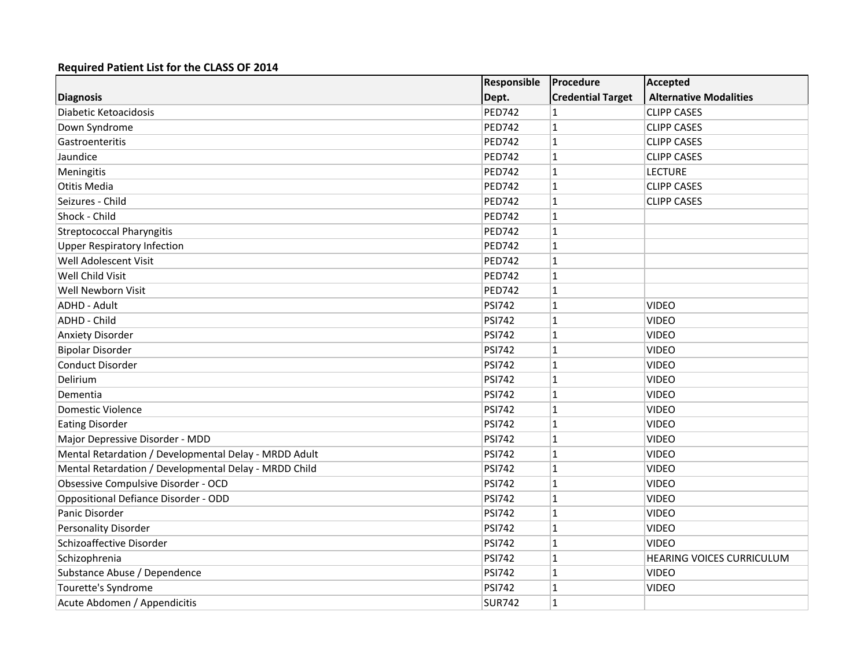|                                                       | Responsible   | Procedure                | Accepted                         |
|-------------------------------------------------------|---------------|--------------------------|----------------------------------|
| <b>Diagnosis</b>                                      | Dept.         | <b>Credential Target</b> | <b>Alternative Modalities</b>    |
| Diabetic Ketoacidosis                                 | <b>PED742</b> | 1                        | <b>CLIPP CASES</b>               |
| Down Syndrome                                         | <b>PED742</b> | $\mathbf{1}$             | <b>CLIPP CASES</b>               |
| Gastroenteritis                                       | <b>PED742</b> | $\mathbf{1}$             | <b>CLIPP CASES</b>               |
| Jaundice                                              | <b>PED742</b> | $\mathbf{1}$             | <b>CLIPP CASES</b>               |
| Meningitis                                            | <b>PED742</b> | $\mathbf{1}$             | <b>LECTURE</b>                   |
| Otitis Media                                          | <b>PED742</b> | $\mathbf{1}$             | <b>CLIPP CASES</b>               |
| Seizures - Child                                      | <b>PED742</b> | $\mathbf{1}$             | <b>CLIPP CASES</b>               |
| Shock - Child                                         | <b>PED742</b> | $\mathbf{1}$             |                                  |
| <b>Streptococcal Pharyngitis</b>                      | <b>PED742</b> | $\mathbf{1}$             |                                  |
| <b>Upper Respiratory Infection</b>                    | <b>PED742</b> | $\mathbf{1}$             |                                  |
| Well Adolescent Visit                                 | <b>PED742</b> | $\mathbf{1}$             |                                  |
| Well Child Visit                                      | <b>PED742</b> | $\mathbf 1$              |                                  |
| Well Newborn Visit                                    | <b>PED742</b> | $\mathbf{1}$             |                                  |
| ADHD - Adult                                          | <b>PSI742</b> | $\mathbf{1}$             | <b>VIDEO</b>                     |
| ADHD - Child                                          | <b>PSI742</b> | 1                        | <b>VIDEO</b>                     |
| <b>Anxiety Disorder</b>                               | <b>PSI742</b> | $\mathbf{1}$             | <b>VIDEO</b>                     |
| <b>Bipolar Disorder</b>                               | <b>PSI742</b> | $\mathbf{1}$             | <b>VIDEO</b>                     |
| <b>Conduct Disorder</b>                               | <b>PSI742</b> | $\mathbf{1}$             | <b>VIDEO</b>                     |
| Delirium                                              | <b>PSI742</b> | $\mathbf{1}$             | <b>VIDEO</b>                     |
| Dementia                                              | <b>PSI742</b> | $\mathbf{1}$             | <b>VIDEO</b>                     |
| Domestic Violence                                     | <b>PSI742</b> | $\mathbf{1}$             | <b>VIDEO</b>                     |
| <b>Eating Disorder</b>                                | <b>PSI742</b> | $\mathbf{1}$             | <b>VIDEO</b>                     |
| Major Depressive Disorder - MDD                       | <b>PSI742</b> | $\mathbf{1}$             | <b>VIDEO</b>                     |
| Mental Retardation / Developmental Delay - MRDD Adult | <b>PSI742</b> | $\mathbf{1}$             | <b>VIDEO</b>                     |
| Mental Retardation / Developmental Delay - MRDD Child | <b>PSI742</b> | $\mathbf{1}$             | <b>VIDEO</b>                     |
| Obsessive Compulsive Disorder - OCD                   | <b>PSI742</b> | $\mathbf{1}$             | <b>VIDEO</b>                     |
| Oppositional Defiance Disorder - ODD                  | <b>PSI742</b> | $\mathbf{1}$             | <b>VIDEO</b>                     |
| Panic Disorder                                        | <b>PSI742</b> | $\mathbf{1}$             | <b>VIDEO</b>                     |
| Personality Disorder                                  | <b>PSI742</b> | $\mathbf{1}$             | <b>VIDEO</b>                     |
| Schizoaffective Disorder                              | <b>PSI742</b> | $\mathbf{1}$             | <b>VIDEO</b>                     |
| Schizophrenia                                         | <b>PSI742</b> | $\mathbf{1}$             | <b>HEARING VOICES CURRICULUM</b> |
| Substance Abuse / Dependence                          | <b>PSI742</b> | $\mathbf{1}$             | <b>VIDEO</b>                     |
| Tourette's Syndrome                                   | <b>PSI742</b> | $\mathbf{1}$             | <b>VIDEO</b>                     |
| Acute Abdomen / Appendicitis                          | <b>SUR742</b> | $\mathbf{1}$             |                                  |